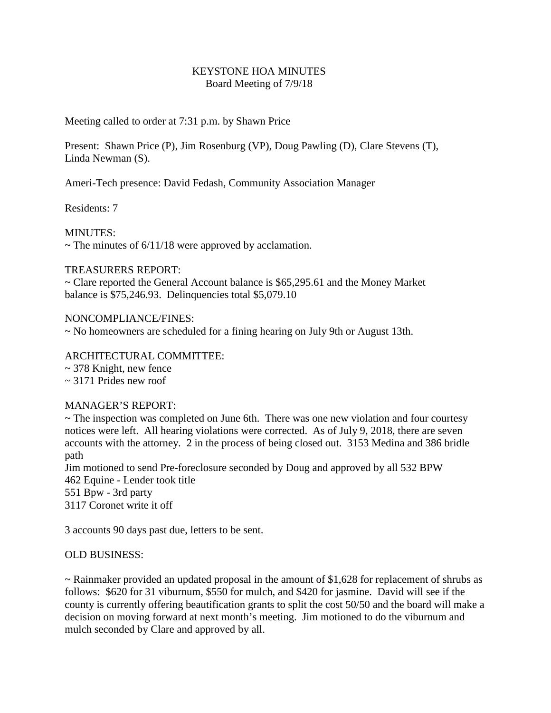### KEYSTONE HOA MINUTES Board Meeting of 7/9/18

Meeting called to order at 7:31 p.m. by Shawn Price

Present: Shawn Price (P), Jim Rosenburg (VP), Doug Pawling (D), Clare Stevens (T), Linda Newman (S).

Ameri-Tech presence: David Fedash, Community Association Manager

Residents: 7

MINUTES:

 $\sim$  The minutes of 6/11/18 were approved by acclamation.

## TREASURERS REPORT:

~ Clare reported the General Account balance is \$65,295.61 and the Money Market balance is \$75,246.93. Delinquencies total \$5,079.10

## NONCOMPLIANCE/FINES:

~ No homeowners are scheduled for a fining hearing on July 9th or August 13th.

## ARCHITECTURAL COMMITTEE:

~ 378 Knight, new fence

~ 3171 Prides new roof

# MANAGER'S REPORT:

~ The inspection was completed on June 6th. There was one new violation and four courtesy notices were left. All hearing violations were corrected. As of July 9, 2018, there are seven accounts with the attorney. 2 in the process of being closed out. 3153 Medina and 386 bridle path

Jim motioned to send Pre-foreclosure seconded by Doug and approved by all 532 BPW Equine - Lender took title Bpw - 3rd party Coronet write it off

3 accounts 90 days past due, letters to be sent.

# OLD BUSINESS:

 $\sim$  Rainmaker provided an updated proposal in the amount of \$1,628 for replacement of shrubs as follows: \$620 for 31 viburnum, \$550 for mulch, and \$420 for jasmine. David will see if the county is currently offering beautification grants to split the cost 50/50 and the board will make a decision on moving forward at next month's meeting. Jim motioned to do the viburnum and mulch seconded by Clare and approved by all.